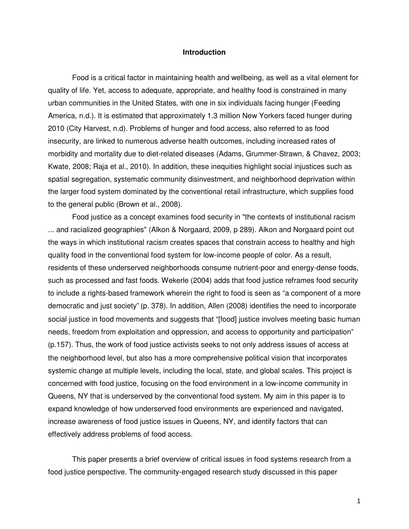## **Introduction**

 Food is a critical factor in maintaining health and wellbeing, as well as a vital element for quality of life. Yet, access to adequate, appropriate, and healthy food is constrained in many urban communities in the United States, with one in six individuals facing hunger (Feeding America, n.d.). It is estimated that approximately 1.3 million New Yorkers faced hunger during 2010 (City Harvest, n.d). Problems of hunger and food access, also referred to as food insecurity, are linked to numerous adverse health outcomes, including increased rates of morbidity and mortality due to diet-related diseases (Adams, Grummer-Strawn, & Chavez, 2003; Kwate, 2008; Raja et al., 2010). In addition, these inequities highlight social injustices such as spatial segregation, systematic community disinvestment, and neighborhood deprivation within the larger food system dominated by the conventional retail infrastructure, which supplies food to the general public (Brown et al., 2008).

 Food justice as a concept examines food security in "the contexts of institutional racism ... and racialized geographies" (Alkon & Norgaard, 2009, p 289). Alkon and Norgaard point out the ways in which institutional racism creates spaces that constrain access to healthy and high quality food in the conventional food system for low-income people of color. As a result, residents of these underserved neighborhoods consume nutrient-poor and energy-dense foods, such as processed and fast foods. Wekerle (2004) adds that food justice reframes food security to include a rights-based framework wherein the right to food is seen as "a component of a more democratic and just society" (p. 378). In addition, Allen (2008) identifies the need to incorporate social justice in food movements and suggests that "[food] justice involves meeting basic human needs, freedom from exploitation and oppression, and access to opportunity and participation" (p.157). Thus, the work of food justice activists seeks to not only address issues of access at the neighborhood level, but also has a more comprehensive political vision that incorporates systemic change at multiple levels, including the local, state, and global scales. This project is concerned with food justice, focusing on the food environment in a low-income community in Queens, NY that is underserved by the conventional food system. My aim in this paper is to expand knowledge of how underserved food environments are experienced and navigated, increase awareness of food justice issues in Queens, NY, and identify factors that can effectively address problems of food access.

 This paper presents a brief overview of critical issues in food systems research from a food justice perspective. The community-engaged research study discussed in this paper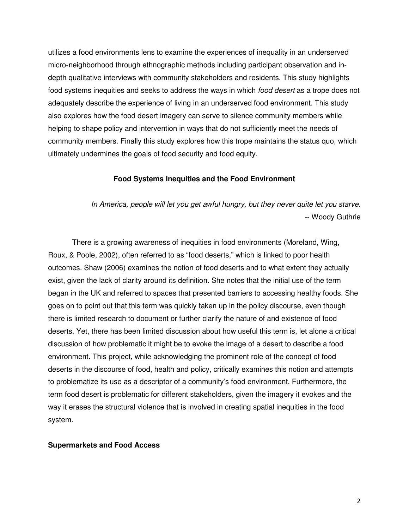utilizes a food environments lens to examine the experiences of inequality in an underserved micro-neighborhood through ethnographic methods including participant observation and indepth qualitative interviews with community stakeholders and residents. This study highlights food systems inequities and seeks to address the ways in which *food desert* as a trope does not adequately describe the experience of living in an underserved food environment. This study also explores how the food desert imagery can serve to silence community members while helping to shape policy and intervention in ways that do not sufficiently meet the needs of community members. Finally this study explores how this trope maintains the status quo, which ultimately undermines the goals of food security and food equity.

## **Food Systems Inequities and the Food Environment**

In America, people will let you get awful hungry, but they never quite let you starve. -- Woody Guthrie

 There is a growing awareness of inequities in food environments (Moreland, Wing, Roux, & Poole, 2002), often referred to as "food deserts," which is linked to poor health outcomes. Shaw (2006) examines the notion of food deserts and to what extent they actually exist, given the lack of clarity around its definition. She notes that the initial use of the term began in the UK and referred to spaces that presented barriers to accessing healthy foods. She goes on to point out that this term was quickly taken up in the policy discourse, even though there is limited research to document or further clarify the nature of and existence of food deserts. Yet, there has been limited discussion about how useful this term is, let alone a critical discussion of how problematic it might be to evoke the image of a desert to describe a food environment. This project, while acknowledging the prominent role of the concept of food deserts in the discourse of food, health and policy, critically examines this notion and attempts to problematize its use as a descriptor of a community's food environment. Furthermore, the term food desert is problematic for different stakeholders, given the imagery it evokes and the way it erases the structural violence that is involved in creating spatial inequities in the food system.

## **Supermarkets and Food Access**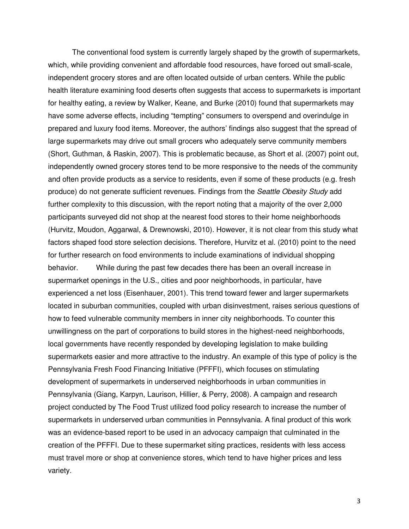The conventional food system is currently largely shaped by the growth of supermarkets, which, while providing convenient and affordable food resources, have forced out small-scale, independent grocery stores and are often located outside of urban centers. While the public health literature examining food deserts often suggests that access to supermarkets is important for healthy eating, a review by Walker, Keane, and Burke (2010) found that supermarkets may have some adverse effects, including "tempting" consumers to overspend and overindulge in prepared and luxury food items. Moreover, the authors' findings also suggest that the spread of large supermarkets may drive out small grocers who adequately serve community members (Short, Guthman, & Raskin, 2007). This is problematic because, as Short et al. (2007) point out, independently owned grocery stores tend to be more responsive to the needs of the community and often provide products as a service to residents, even if some of these products (e.g. fresh produce) do not generate sufficient revenues. Findings from the Seattle Obesity Study add further complexity to this discussion, with the report noting that a majority of the over 2,000 participants surveyed did not shop at the nearest food stores to their home neighborhoods (Hurvitz, Moudon, Aggarwal, & Drewnowski, 2010). However, it is not clear from this study what factors shaped food store selection decisions. Therefore, Hurvitz et al. (2010) point to the need for further research on food environments to include examinations of individual shopping behavior. While during the past few decades there has been an overall increase in supermarket openings in the U.S., cities and poor neighborhoods, in particular, have experienced a net loss (Eisenhauer, 2001). This trend toward fewer and larger supermarkets located in suburban communities, coupled with urban disinvestment, raises serious questions of how to feed vulnerable community members in inner city neighborhoods. To counter this unwillingness on the part of corporations to build stores in the highest-need neighborhoods, local governments have recently responded by developing legislation to make building supermarkets easier and more attractive to the industry. An example of this type of policy is the Pennsylvania Fresh Food Financing Initiative (PFFFI), which focuses on stimulating development of supermarkets in underserved neighborhoods in urban communities in Pennsylvania (Giang, Karpyn, Laurison, Hillier, & Perry, 2008). A campaign and research project conducted by The Food Trust utilized food policy research to increase the number of supermarkets in underserved urban communities in Pennsylvania. A final product of this work was an evidence-based report to be used in an advocacy campaign that culminated in the creation of the PFFFI. Due to these supermarket siting practices, residents with less access must travel more or shop at convenience stores, which tend to have higher prices and less variety.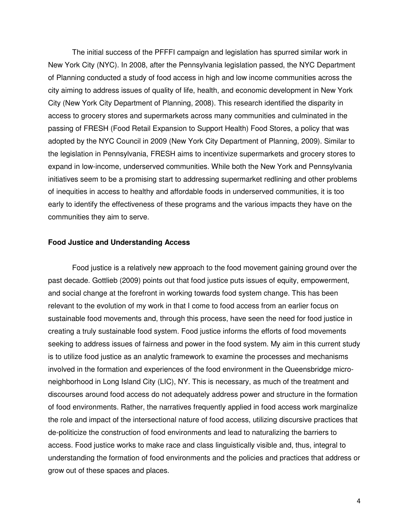The initial success of the PFFFI campaign and legislation has spurred similar work in New York City (NYC). In 2008, after the Pennsylvania legislation passed, the NYC Department of Planning conducted a study of food access in high and low income communities across the city aiming to address issues of quality of life, health, and economic development in New York City (New York City Department of Planning, 2008). This research identified the disparity in access to grocery stores and supermarkets across many communities and culminated in the passing of FRESH (Food Retail Expansion to Support Health) Food Stores, a policy that was adopted by the NYC Council in 2009 (New York City Department of Planning, 2009). Similar to the legislation in Pennsylvania, FRESH aims to incentivize supermarkets and grocery stores to expand in low-income, underserved communities. While both the New York and Pennsylvania initiatives seem to be a promising start to addressing supermarket redlining and other problems of inequities in access to healthy and affordable foods in underserved communities, it is too early to identify the effectiveness of these programs and the various impacts they have on the communities they aim to serve.

## **Food Justice and Understanding Access**

 Food justice is a relatively new approach to the food movement gaining ground over the past decade. Gottlieb (2009) points out that food justice puts issues of equity, empowerment, and social change at the forefront in working towards food system change. This has been relevant to the evolution of my work in that I come to food access from an earlier focus on sustainable food movements and, through this process, have seen the need for food justice in creating a truly sustainable food system. Food justice informs the efforts of food movements seeking to address issues of fairness and power in the food system. My aim in this current study is to utilize food justice as an analytic framework to examine the processes and mechanisms involved in the formation and experiences of the food environment in the Queensbridge microneighborhood in Long Island City (LIC), NY. This is necessary, as much of the treatment and discourses around food access do not adequately address power and structure in the formation of food environments. Rather, the narratives frequently applied in food access work marginalize the role and impact of the intersectional nature of food access, utilizing discursive practices that de-politicize the construction of food environments and lead to naturalizing the barriers to access. Food justice works to make race and class linguistically visible and, thus, integral to understanding the formation of food environments and the policies and practices that address or grow out of these spaces and places.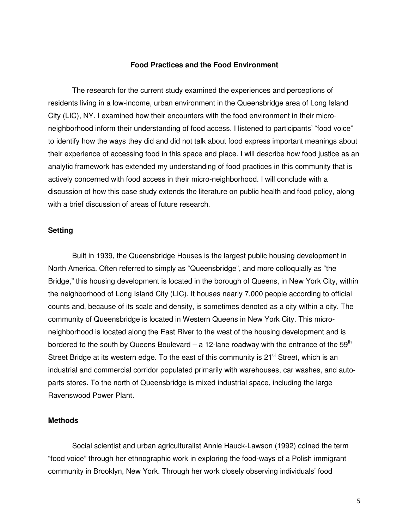## **Food Practices and the Food Environment**

 The research for the current study examined the experiences and perceptions of residents living in a low-income, urban environment in the Queensbridge area of Long Island City (LIC), NY. I examined how their encounters with the food environment in their microneighborhood inform their understanding of food access. I listened to participants' "food voice" to identify how the ways they did and did not talk about food express important meanings about their experience of accessing food in this space and place. I will describe how food justice as an analytic framework has extended my understanding of food practices in this community that is actively concerned with food access in their micro-neighborhood. I will conclude with a discussion of how this case study extends the literature on public health and food policy, along with a brief discussion of areas of future research.

# **Setting**

 Built in 1939, the Queensbridge Houses is the largest public housing development in North America. Often referred to simply as "Queensbridge", and more colloquially as "the Bridge," this housing development is located in the borough of Queens, in New York City, within the neighborhood of Long Island City (LIC). It houses nearly 7,000 people according to official counts and, because of its scale and density, is sometimes denoted as a city within a city. The community of Queensbridge is located in Western Queens in New York City. This microneighborhood is located along the East River to the west of the housing development and is bordered to the south by Queens Boulevard – a 12-lane roadway with the entrance of the 59<sup>th</sup> Street Bridge at its western edge. To the east of this community is  $21<sup>st</sup>$  Street, which is an industrial and commercial corridor populated primarily with warehouses, car washes, and autoparts stores. To the north of Queensbridge is mixed industrial space, including the large Ravenswood Power Plant.

## **Methods**

 Social scientist and urban agriculturalist Annie Hauck-Lawson (1992) coined the term "food voice" through her ethnographic work in exploring the food-ways of a Polish immigrant community in Brooklyn, New York. Through her work closely observing individuals' food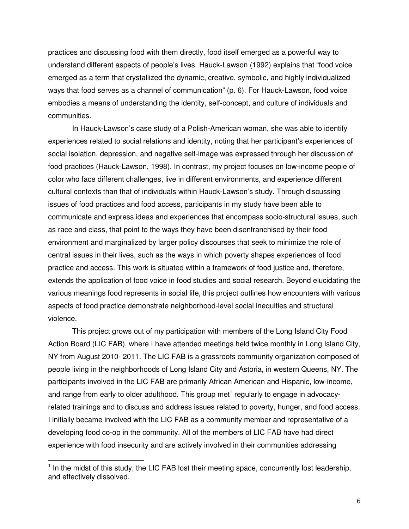practices and discussing food with them directly, food itself emerged as a powerful way to understand different aspects of people's lives. Hauck-Lawson (1992) explains that "food voice emerged as a term that crystallized the dynamic, creative, symbolic, and highly individualized ways that food serves as a channel of communication" (p. 6). For Hauck-Lawson, food voice embodies a means of understanding the identity, self-concept, and culture of individuals and communities.

 In Hauck-Lawson's case study of a Polish-American woman, she was able to identify experiences related to social relations and identity, noting that her participant's experiences of social isolation, depression, and negative self-image was expressed through her discussion of food practices (Hauck-Lawson, 1998). In contrast, my project focuses on low-income people of color who face different challenges, live in different environments, and experience different cultural contexts than that of individuals within Hauck-Lawson's study. Through discussing issues of food practices and food access, participants in my study have been able to communicate and express ideas and experiences that encompass socio-structural issues, such as race and class, that point to the ways they have been disenfranchised by their food environment and marginalized by larger policy discourses that seek to minimize the role of central issues in their lives, such as the ways in which poverty shapes experiences of food practice and access. This work is situated within a framework of food justice and, therefore, extends the application of food voice in food studies and social research. Beyond elucidating the various meanings food represents in social life, this project outlines how encounters with various aspects of food practice demonstrate neighborhood-level social inequities and structural violence.

 This project grows out of my participation with members of the Long Island City Food Action Board (LIC FAB), where I have attended meetings held twice monthly in Long Island City, NY from August 2010- 2011. The LIC FAB is a grassroots community organization composed of people living in the neighborhoods of Long Island City and Astoria, in western Queens, NY. The participants involved in the LIC FAB are primarily African American and Hispanic, low-income, and range from early to older adulthood. This group met<sup>1</sup> regularly to engage in advocacyrelated trainings and to discuss and address issues related to poverty, hunger, and food access. I initially became involved with the LIC FAB as a community member and representative of a developing food co-op in the community. All of the members of LIC FAB have had direct experience with food insecurity and are actively involved in their communities addressing

l

<sup>&</sup>lt;sup>1</sup> In the midst of this study, the LIC FAB lost their meeting space, concurrently lost leadership, and effectively dissolved.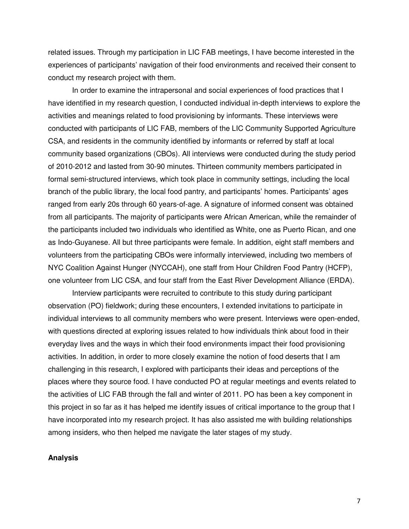related issues. Through my participation in LIC FAB meetings, I have become interested in the experiences of participants' navigation of their food environments and received their consent to conduct my research project with them.

 In order to examine the intrapersonal and social experiences of food practices that I have identified in my research question, I conducted individual in-depth interviews to explore the activities and meanings related to food provisioning by informants. These interviews were conducted with participants of LIC FAB, members of the LIC Community Supported Agriculture CSA, and residents in the community identified by informants or referred by staff at local community based organizations (CBOs). All interviews were conducted during the study period of 2010-2012 and lasted from 30-90 minutes. Thirteen community members participated in formal semi-structured interviews, which took place in community settings, including the local branch of the public library, the local food pantry, and participants' homes. Participants' ages ranged from early 20s through 60 years-of-age. A signature of informed consent was obtained from all participants. The majority of participants were African American, while the remainder of the participants included two individuals who identified as White, one as Puerto Rican, and one as Indo-Guyanese. All but three participants were female. In addition, eight staff members and volunteers from the participating CBOs were informally interviewed, including two members of NYC Coalition Against Hunger (NYCCAH), one staff from Hour Children Food Pantry (HCFP), one volunteer from LIC CSA, and four staff from the East River Development Alliance (ERDA).

 Interview participants were recruited to contribute to this study during participant observation (PO) fieldwork; during these encounters, I extended invitations to participate in individual interviews to all community members who were present. Interviews were open-ended, with questions directed at exploring issues related to how individuals think about food in their everyday lives and the ways in which their food environments impact their food provisioning activities. In addition, in order to more closely examine the notion of food deserts that I am challenging in this research, I explored with participants their ideas and perceptions of the places where they source food. I have conducted PO at regular meetings and events related to the activities of LIC FAB through the fall and winter of 2011. PO has been a key component in this project in so far as it has helped me identify issues of critical importance to the group that I have incorporated into my research project. It has also assisted me with building relationships among insiders, who then helped me navigate the later stages of my study.

# **Analysis**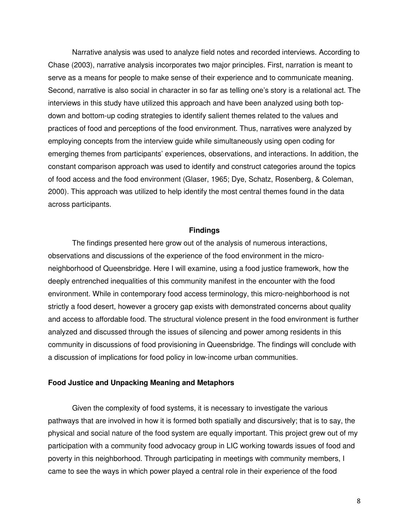Narrative analysis was used to analyze field notes and recorded interviews. According to Chase (2003), narrative analysis incorporates two major principles. First, narration is meant to serve as a means for people to make sense of their experience and to communicate meaning. Second, narrative is also social in character in so far as telling one's story is a relational act. The interviews in this study have utilized this approach and have been analyzed using both topdown and bottom-up coding strategies to identify salient themes related to the values and practices of food and perceptions of the food environment. Thus, narratives were analyzed by employing concepts from the interview guide while simultaneously using open coding for emerging themes from participants' experiences, observations, and interactions. In addition, the constant comparison approach was used to identify and construct categories around the topics of food access and the food environment (Glaser, 1965; Dye, Schatz, Rosenberg, & Coleman, 2000). This approach was utilized to help identify the most central themes found in the data across participants.

#### **Findings**

 The findings presented here grow out of the analysis of numerous interactions, observations and discussions of the experience of the food environment in the microneighborhood of Queensbridge. Here I will examine, using a food justice framework, how the deeply entrenched inequalities of this community manifest in the encounter with the food environment. While in contemporary food access terminology, this micro-neighborhood is not strictly a food desert, however a grocery gap exists with demonstrated concerns about quality and access to affordable food. The structural violence present in the food environment is further analyzed and discussed through the issues of silencing and power among residents in this community in discussions of food provisioning in Queensbridge. The findings will conclude with a discussion of implications for food policy in low-income urban communities.

## **Food Justice and Unpacking Meaning and Metaphors**

 Given the complexity of food systems, it is necessary to investigate the various pathways that are involved in how it is formed both spatially and discursively; that is to say, the physical and social nature of the food system are equally important. This project grew out of my participation with a community food advocacy group in LIC working towards issues of food and poverty in this neighborhood. Through participating in meetings with community members, I came to see the ways in which power played a central role in their experience of the food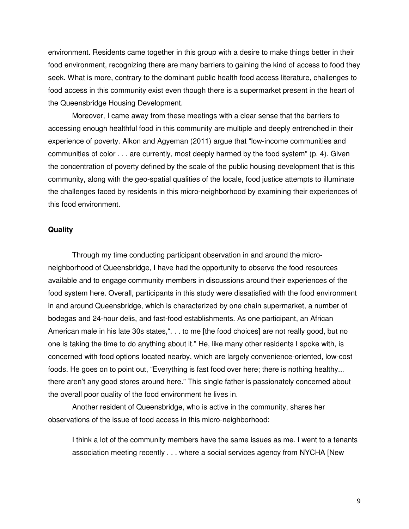environment. Residents came together in this group with a desire to make things better in their food environment, recognizing there are many barriers to gaining the kind of access to food they seek. What is more, contrary to the dominant public health food access literature, challenges to food access in this community exist even though there is a supermarket present in the heart of the Queensbridge Housing Development.

 Moreover, I came away from these meetings with a clear sense that the barriers to accessing enough healthful food in this community are multiple and deeply entrenched in their experience of poverty. Alkon and Agyeman (2011) argue that "low-income communities and communities of color . . . are currently, most deeply harmed by the food system" (p. 4). Given the concentration of poverty defined by the scale of the public housing development that is this community, along with the geo-spatial qualities of the locale, food justice attempts to illuminate the challenges faced by residents in this micro-neighborhood by examining their experiences of this food environment.

## **Quality**

 Through my time conducting participant observation in and around the microneighborhood of Queensbridge, I have had the opportunity to observe the food resources available and to engage community members in discussions around their experiences of the food system here. Overall, participants in this study were dissatisfied with the food environment in and around Queensbridge, which is characterized by one chain supermarket, a number of bodegas and 24-hour delis, and fast-food establishments. As one participant, an African American male in his late 30s states,". . . to me [the food choices] are not really good, but no one is taking the time to do anything about it." He, like many other residents I spoke with, is concerned with food options located nearby, which are largely convenience-oriented, low-cost foods. He goes on to point out, "Everything is fast food over here; there is nothing healthy... there aren't any good stores around here." This single father is passionately concerned about the overall poor quality of the food environment he lives in.

 Another resident of Queensbridge, who is active in the community, shares her observations of the issue of food access in this micro-neighborhood:

I think a lot of the community members have the same issues as me. I went to a tenants association meeting recently . . . where a social services agency from NYCHA [New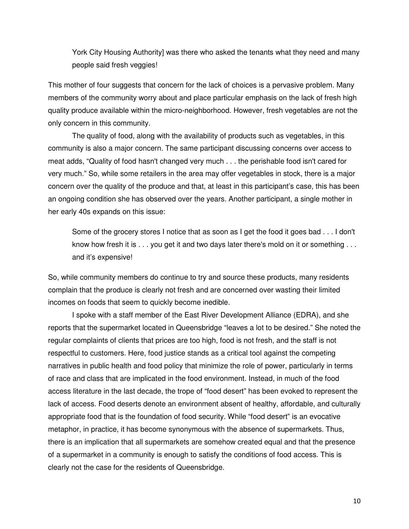York City Housing Authority] was there who asked the tenants what they need and many people said fresh veggies!

This mother of four suggests that concern for the lack of choices is a pervasive problem. Many members of the community worry about and place particular emphasis on the lack of fresh high quality produce available within the micro-neighborhood. However, fresh vegetables are not the only concern in this community.

 The quality of food, along with the availability of products such as vegetables, in this community is also a major concern. The same participant discussing concerns over access to meat adds, "Quality of food hasn't changed very much . . . the perishable food isn't cared for very much." So, while some retailers in the area may offer vegetables in stock, there is a major concern over the quality of the produce and that, at least in this participant's case, this has been an ongoing condition she has observed over the years. Another participant, a single mother in her early 40s expands on this issue:

 Some of the grocery stores I notice that as soon as I get the food it goes bad . . . I don't know how fresh it is . . . you get it and two days later there's mold on it or something . . . and it's expensive!

So, while community members do continue to try and source these products, many residents complain that the produce is clearly not fresh and are concerned over wasting their limited incomes on foods that seem to quickly become inedible.

 I spoke with a staff member of the East River Development Alliance (EDRA), and she reports that the supermarket located in Queensbridge "leaves a lot to be desired." She noted the regular complaints of clients that prices are too high, food is not fresh, and the staff is not respectful to customers. Here, food justice stands as a critical tool against the competing narratives in public health and food policy that minimize the role of power, particularly in terms of race and class that are implicated in the food environment. Instead, in much of the food access literature in the last decade, the trope of "food desert" has been evoked to represent the lack of access. Food deserts denote an environment absent of healthy, affordable, and culturally appropriate food that is the foundation of food security. While "food desert" is an evocative metaphor, in practice, it has become synonymous with the absence of supermarkets. Thus, there is an implication that all supermarkets are somehow created equal and that the presence of a supermarket in a community is enough to satisfy the conditions of food access. This is clearly not the case for the residents of Queensbridge.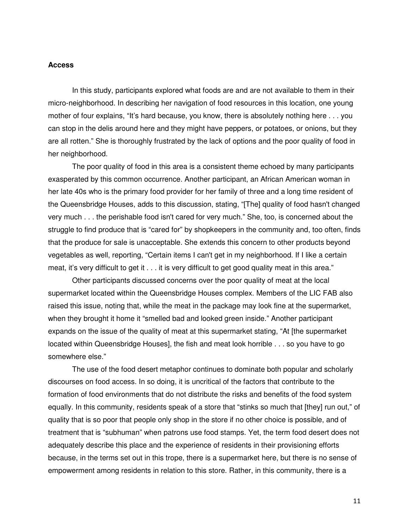#### **Access**

 In this study, participants explored what foods are and are not available to them in their micro-neighborhood. In describing her navigation of food resources in this location, one young mother of four explains, "It's hard because, you know, there is absolutely nothing here . . . you can stop in the delis around here and they might have peppers, or potatoes, or onions, but they are all rotten." She is thoroughly frustrated by the lack of options and the poor quality of food in her neighborhood.

 The poor quality of food in this area is a consistent theme echoed by many participants exasperated by this common occurrence. Another participant, an African American woman in her late 40s who is the primary food provider for her family of three and a long time resident of the Queensbridge Houses, adds to this discussion, stating, "[The] quality of food hasn't changed very much . . . the perishable food isn't cared for very much." She, too, is concerned about the struggle to find produce that is "cared for" by shopkeepers in the community and, too often, finds that the produce for sale is unacceptable. She extends this concern to other products beyond vegetables as well, reporting, "Certain items I can't get in my neighborhood. If I like a certain meat, it's very difficult to get it . . . it is very difficult to get good quality meat in this area."

 Other participants discussed concerns over the poor quality of meat at the local supermarket located within the Queensbridge Houses complex. Members of the LIC FAB also raised this issue, noting that, while the meat in the package may look fine at the supermarket, when they brought it home it "smelled bad and looked green inside." Another participant expands on the issue of the quality of meat at this supermarket stating, "At [the supermarket located within Queensbridge Houses], the fish and meat look horrible . . . so you have to go somewhere else."

 The use of the food desert metaphor continues to dominate both popular and scholarly discourses on food access. In so doing, it is uncritical of the factors that contribute to the formation of food environments that do not distribute the risks and benefits of the food system equally. In this community, residents speak of a store that "stinks so much that [they] run out," of quality that is so poor that people only shop in the store if no other choice is possible, and of treatment that is "subhuman" when patrons use food stamps. Yet, the term food desert does not adequately describe this place and the experience of residents in their provisioning efforts because, in the terms set out in this trope, there is a supermarket here, but there is no sense of empowerment among residents in relation to this store. Rather, in this community, there is a

11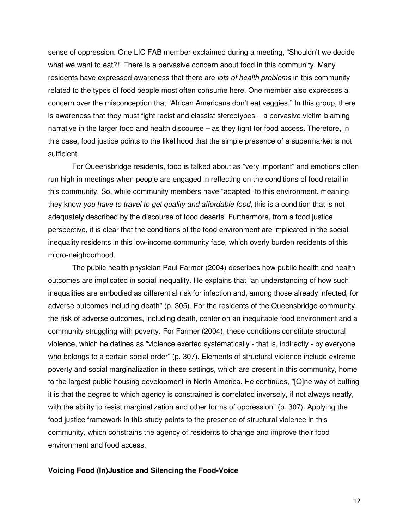sense of oppression. One LIC FAB member exclaimed during a meeting, "Shouldn't we decide what we want to eat?!" There is a pervasive concern about food in this community. Many residents have expressed awareness that there are lots of health problems in this community related to the types of food people most often consume here. One member also expresses a concern over the misconception that "African Americans don't eat veggies." In this group, there is awareness that they must fight racist and classist stereotypes – a pervasive victim-blaming narrative in the larger food and health discourse – as they fight for food access. Therefore, in this case, food justice points to the likelihood that the simple presence of a supermarket is not sufficient.

 For Queensbridge residents, food is talked about as "very important" and emotions often run high in meetings when people are engaged in reflecting on the conditions of food retail in this community. So, while community members have "adapted" to this environment, meaning they know you have to travel to get quality and affordable food, this is a condition that is not adequately described by the discourse of food deserts. Furthermore, from a food justice perspective, it is clear that the conditions of the food environment are implicated in the social inequality residents in this low-income community face, which overly burden residents of this micro-neighborhood.

 The public health physician Paul Farmer (2004) describes how public health and health outcomes are implicated in social inequality. He explains that "an understanding of how such inequalities are embodied as differential risk for infection and, among those already infected, for adverse outcomes including death" (p. 305). For the residents of the Queensbridge community, the risk of adverse outcomes, including death, center on an inequitable food environment and a community struggling with poverty. For Farmer (2004), these conditions constitute structural violence, which he defines as "violence exerted systematically - that is, indirectly - by everyone who belongs to a certain social order" (p. 307). Elements of structural violence include extreme poverty and social marginalization in these settings, which are present in this community, home to the largest public housing development in North America. He continues, "[O]ne way of putting it is that the degree to which agency is constrained is correlated inversely, if not always neatly, with the ability to resist marginalization and other forms of oppression" (p. 307). Applying the food justice framework in this study points to the presence of structural violence in this community, which constrains the agency of residents to change and improve their food environment and food access.

# **Voicing Food (In)Justice and Silencing the Food-Voice**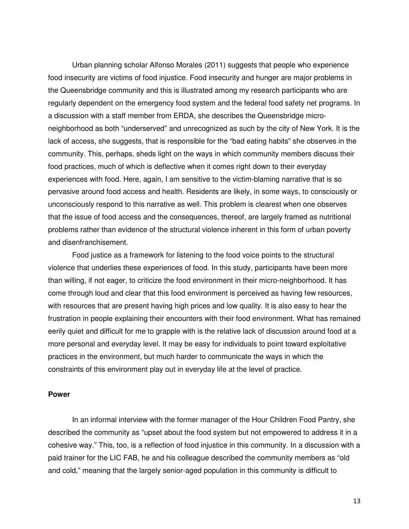Urban planning scholar Alfonso Morales (2011) suggests that people who experience food insecurity are victims of food injustice. Food insecurity and hunger are major problems in the Queensbridge community and this is illustrated among my research participants who are regularly dependent on the emergency food system and the federal food safety net programs. In a discussion with a staff member from ERDA, she describes the Queensbridge microneighborhood as both "underserved" and unrecognized as such by the city of New York. It is the lack of access, she suggests, that is responsible for the "bad eating habits" she observes in the community. This, perhaps, sheds light on the ways in which community members discuss their food practices, much of which is deflective when it comes right down to their everyday experiences with food. Here, again, I am sensitive to the victim-blaming narrative that is so pervasive around food access and health. Residents are likely, in some ways, to consciously or unconsciously respond to this narrative as well. This problem is clearest when one observes that the issue of food access and the consequences, thereof, are largely framed as nutritional problems rather than evidence of the structural violence inherent in this form of urban poverty and disenfranchisement.

 Food justice as a framework for listening to the food voice points to the structural violence that underlies these experiences of food. In this study, participants have been more than willing, if not eager, to criticize the food environment in their micro-neighborhood. It has come through loud and clear that this food environment is perceived as having few resources, with resources that are present having high prices and low quality. It is also easy to hear the frustration in people explaining their encounters with their food environment. What has remained eerily quiet and difficult for me to grapple with is the relative lack of discussion around food at a more personal and everyday level. It may be easy for individuals to point toward exploitative practices in the environment, but much harder to communicate the ways in which the constraints of this environment play out in everyday life at the level of practice.

# **Power**

 In an informal interview with the former manager of the Hour Children Food Pantry, she described the community as "upset about the food system but not empowered to address it in a cohesive way." This, too, is a reflection of food injustice in this community. In a discussion with a paid trainer for the LIC FAB, he and his colleague described the community members as "old and cold," meaning that the largely senior-aged population in this community is difficult to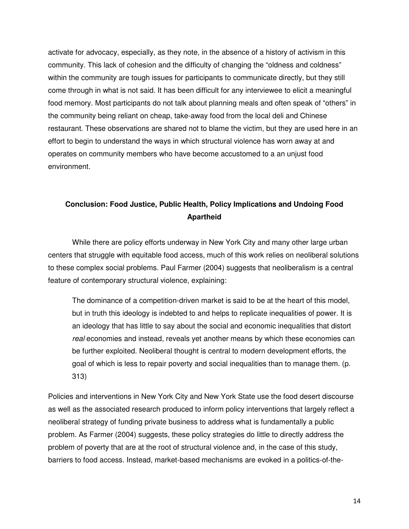activate for advocacy, especially, as they note, in the absence of a history of activism in this community. This lack of cohesion and the difficulty of changing the "oldness and coldness" within the community are tough issues for participants to communicate directly, but they still come through in what is not said. It has been difficult for any interviewee to elicit a meaningful food memory. Most participants do not talk about planning meals and often speak of "others" in the community being reliant on cheap, take-away food from the local deli and Chinese restaurant. These observations are shared not to blame the victim, but they are used here in an effort to begin to understand the ways in which structural violence has worn away at and operates on community members who have become accustomed to a an unjust food environment.

# **Conclusion: Food Justice, Public Health, Policy Implications and Undoing Food Apartheid**

 While there are policy efforts underway in New York City and many other large urban centers that struggle with equitable food access, much of this work relies on neoliberal solutions to these complex social problems. Paul Farmer (2004) suggests that neoliberalism is a central feature of contemporary structural violence, explaining:

 The dominance of a competition-driven market is said to be at the heart of this model, but in truth this ideology is indebted to and helps to replicate inequalities of power. It is an ideology that has little to say about the social and economic inequalities that distort real economies and instead, reveals yet another means by which these economies can be further exploited. Neoliberal thought is central to modern development efforts, the goal of which is less to repair poverty and social inequalities than to manage them. (p. 313)

Policies and interventions in New York City and New York State use the food desert discourse as well as the associated research produced to inform policy interventions that largely reflect a neoliberal strategy of funding private business to address what is fundamentally a public problem. As Farmer (2004) suggests, these policy strategies do little to directly address the problem of poverty that are at the root of structural violence and, in the case of this study, barriers to food access. Instead, market-based mechanisms are evoked in a politics-of-the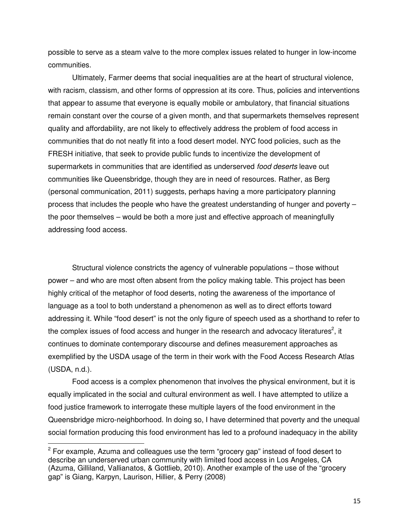possible to serve as a steam valve to the more complex issues related to hunger in low-income communities.

 Ultimately, Farmer deems that social inequalities are at the heart of structural violence, with racism, classism, and other forms of oppression at its core. Thus, policies and interventions that appear to assume that everyone is equally mobile or ambulatory, that financial situations remain constant over the course of a given month, and that supermarkets themselves represent quality and affordability, are not likely to effectively address the problem of food access in communities that do not neatly fit into a food desert model. NYC food policies, such as the FRESH initiative, that seek to provide public funds to incentivize the development of supermarkets in communities that are identified as underserved *food deserts* leave out communities like Queensbridge, though they are in need of resources. Rather, as Berg (personal communication, 2011) suggests, perhaps having a more participatory planning process that includes the people who have the greatest understanding of hunger and poverty – the poor themselves – would be both a more just and effective approach of meaningfully addressing food access.

 Structural violence constricts the agency of vulnerable populations – those without power – and who are most often absent from the policy making table. This project has been highly critical of the metaphor of food deserts, noting the awareness of the importance of language as a tool to both understand a phenomenon as well as to direct efforts toward addressing it. While "food desert" is not the only figure of speech used as a shorthand to refer to the complex issues of food access and hunger in the research and advocacy literatures<sup>2</sup>, it continues to dominate contemporary discourse and defines measurement approaches as exemplified by the USDA usage of the term in their work with the Food Access Research Atlas (USDA, n.d.).

 Food access is a complex phenomenon that involves the physical environment, but it is equally implicated in the social and cultural environment as well. I have attempted to utilize a food justice framework to interrogate these multiple layers of the food environment in the Queensbridge micro-neighborhood. In doing so, I have determined that poverty and the unequal social formation producing this food environment has led to a profound inadequacy in the ability

 $\overline{a}$ 

 $2$  For example, Azuma and colleagues use the term "grocery gap" instead of food desert to describe an underserved urban community with limited food access in Los Angeles, CA (Azuma, Gilliland, Vallianatos, & Gottlieb, 2010). Another example of the use of the "grocery gap" is Giang, Karpyn, Laurison, Hillier, & Perry (2008)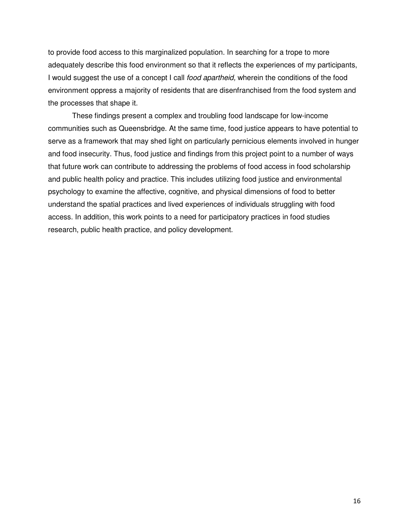to provide food access to this marginalized population. In searching for a trope to more adequately describe this food environment so that it reflects the experiences of my participants, I would suggest the use of a concept I call *food apartheid*, wherein the conditions of the food environment oppress a majority of residents that are disenfranchised from the food system and the processes that shape it.

 These findings present a complex and troubling food landscape for low-income communities such as Queensbridge. At the same time, food justice appears to have potential to serve as a framework that may shed light on particularly pernicious elements involved in hunger and food insecurity. Thus, food justice and findings from this project point to a number of ways that future work can contribute to addressing the problems of food access in food scholarship and public health policy and practice. This includes utilizing food justice and environmental psychology to examine the affective, cognitive, and physical dimensions of food to better understand the spatial practices and lived experiences of individuals struggling with food access. In addition, this work points to a need for participatory practices in food studies research, public health practice, and policy development.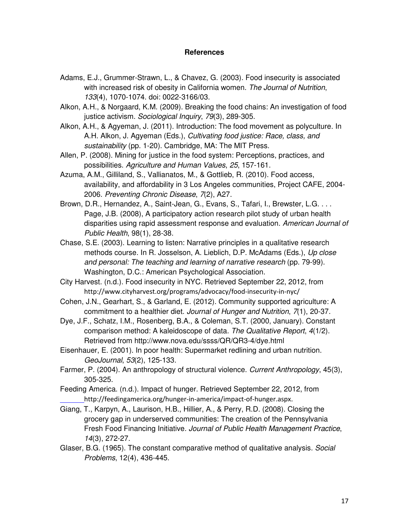# **References**

- Adams, E.J., Grummer-Strawn, L., & Chavez, G. (2003). Food insecurity is associated with increased risk of obesity in California women. The Journal of Nutrition, 133(4), 1070-1074. doi: 0022-3166/03.
- Alkon, A.H., & Norgaard, K.M. (2009). Breaking the food chains: An investigation of food justice activism. Sociological Inquiry, 79(3), 289-305.
- Alkon, A.H., & Agyeman, J. (2011). Introduction: The food movement as polyculture. In A.H. Alkon, J. Agyeman (Eds.), Cultivating food justice: Race, class, and sustainability (pp. 1-20). Cambridge, MA: The MIT Press.
- Allen, P. (2008). Mining for justice in the food system: Perceptions, practices, and possibilities. Agriculture and Human Values, 25, 157-161.
- Azuma, A.M., Gilliland, S., Vallianatos, M., & Gottlieb, R. (2010). Food access, availability, and affordability in 3 Los Angeles communities, Project CAFE, 2004- 2006. Preventing Chronic Disease, 7(2), A27.
- Brown, D.R., Hernandez, A., Saint-Jean, G., Evans, S., Tafari, I., Brewster, L.G. . . . Page, J.B. (2008), A participatory action research pilot study of urban health disparities using rapid assessment response and evaluation. American Journal of Public Health, 98(1), 28-38.
- Chase, S.E. (2003). Learning to listen: Narrative principles in a qualitative research methods course. In R. Josselson, A. Lieblich, D.P. McAdams (Eds.), Up close and personal: The teaching and learning of narrative research (pp. 79-99). Washington, D.C.: American Psychological Association.
- City Harvest. (n.d.). Food insecurity in NYC. Retrieved September 22, 2012, from http://www.cityharvest.org/programs/advocacy/food-insecurity-in-nyc/
- Cohen, J.N., Gearhart, S., & Garland, E. (2012). Community supported agriculture: A commitment to a healthier diet. Journal of Hunger and Nutrition, 7(1), 20-37.
- Dye, J.F., Schatz, I.M., Rosenberg, B.A., & Coleman, S.T. (2000, January). Constant comparison method: A kaleidoscope of data. The Qualitative Report, 4(1/2). Retrieved from http://www.nova.edu/ssss/QR/QR3-4/dye.html
- Eisenhauer, E. (2001). In poor health: Supermarket redlining and urban nutrition. GeoJournal, 53(2), 125-133.
- Farmer, P. (2004). An anthropology of structural violence. Current Anthropology, 45(3), 305-325.
- Feeding America. (n.d.). Impact of hunger. Retrieved September 22, 2012, from http://feedingamerica.org/hunger-in-america/impact-of-hunger.aspx.
- Giang, T., Karpyn, A., Laurison, H.B., Hillier, A., & Perry, R.D. (2008). Closing the grocery gap in underserved communities: The creation of the Pennsylvania Fresh Food Financing Initiative. Journal of Public Health Management Practice, 14(3), 272-27.
- Glaser, B.G. (1965). The constant comparative method of qualitative analysis. Social Problems, 12(4), 436-445.